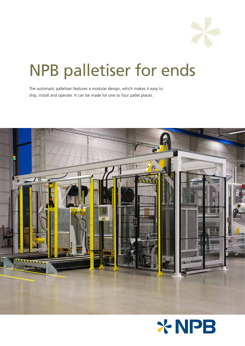

# NPB palletiser for ends

The automatic palletiser features a modular design, which makes it easy to ship, install and operate. It can be made for one to four pallet places.